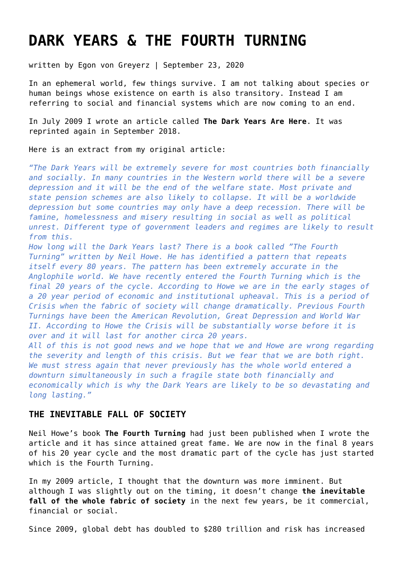# **[DARK YEARS & THE FOURTH TURNING](https://goldswitzerland.com/dark-years-fourth-turning/)**

written by Egon von Greyerz | September 23, 2020

In an ephemeral world, few things survive. I am not talking about species or human beings whose existence on earth is also transitory. Instead I am referring to social and financial systems which are now coming to an end.

In July 2009 I wrote an article called **[The Dark Years Are Here](https://goldswitzerland.com/the-dark-years-are-here-ii/)**. It was reprinted again in September 2018.

Here is an extract from my original article:

*"The Dark Years will be extremely severe for most countries both financially and socially. In many countries in the Western world there will be a severe depression and it will be the end of the welfare state. Most private and state pension schemes are also likely to collapse. It will be a worldwide depression but some countries may only have a deep recession. There will be famine, homelessness and misery resulting in social as well as political unrest. Different type of government leaders and regimes are likely to result from this.*

*How long will the Dark Years last? There is a book called "The Fourth Turning" written by Neil Howe. He has identified a pattern that repeats itself every 80 years. The pattern has been extremely accurate in the Anglophile world. We have recently entered the Fourth Turning which is the final 20 years of the cycle. According to Howe we are in the early stages of a 20 year period of economic and institutional upheaval. This is a period of Crisis when the fabric of society will change dramatically. Previous Fourth Turnings have been the American Revolution, Great Depression and World War II. According to Howe the Crisis will be substantially worse before it is over and it will last for another circa 20 years.*

*All of this is not good news and we hope that we and Howe are wrong regarding the severity and length of this crisis. But we fear that we are both right. We must stress again that never previously has the whole world entered a downturn simultaneously in such a fragile state both financially and economically which is why the Dark Years are likely to be so devastating and long lasting."*

# **THE INEVITABLE FALL OF SOCIETY**

Neil Howe's book **The Fourth Turning** had just been published when I wrote the article and it has since attained great fame. We are now in the final 8 years of his 20 year cycle and the most dramatic part of the cycle has just started which is the Fourth Turning.

In my 2009 article, I thought that the downturn was more imminent. But although I was slightly out on the timing, it doesn't change **the inevitable fall of the whole fabric of society** in the next few years, be it commercial, financial or social.

Since 2009, global debt has doubled to \$280 trillion and risk has increased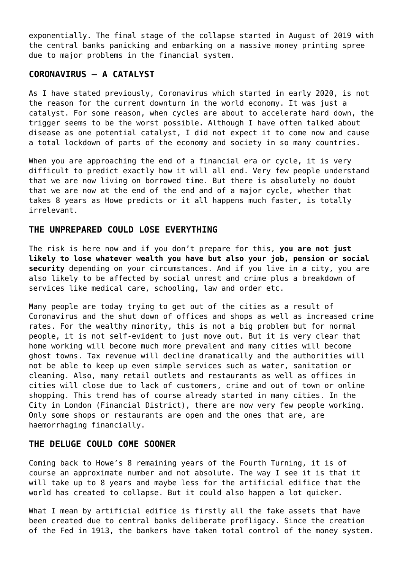exponentially. The final stage of the collapse started in August of 2019 with the central banks panicking and embarking on a massive money printing spree due to major problems in the financial system.

# **CORONAVIRUS – A CATALYST**

As I have stated previously, Coronavirus which started in early 2020, is not the reason for the current downturn in the world economy. It was just a catalyst. For some reason, when cycles are about to accelerate hard down, the trigger seems to be the worst possible. Although I have often talked about disease as one potential catalyst, I did not expect it to come now and cause a total lockdown of parts of the economy and society in so many countries.

When you are approaching the end of a financial era or cycle, it is very difficult to predict exactly how it will all end. Very few people understand that we are now living on borrowed time. But there is absolutely no doubt that we are now at the end of the end and of a major cycle, whether that takes 8 years as Howe predicts or it all happens much faster, is totally irrelevant.

## **THE UNPREPARED COULD LOSE EVERYTHING**

The risk is here now and if you don't prepare for this, **you are not just likely to lose whatever wealth you have but also your job, pension or social security** depending on your circumstances. And if you live in a city, you are also likely to be affected by social unrest and crime plus a breakdown of services like medical care, schooling, law and order etc.

Many people are today trying to get out of the cities as a result of Coronavirus and the shut down of offices and shops as well as increased crime rates. For the wealthy minority, this is not a big problem but for normal people, it is not self-evident to just move out. But it is very clear that home working will become much more prevalent and many cities will become ghost towns. Tax revenue will decline dramatically and the authorities will not be able to keep up even simple services such as water, sanitation or cleaning. Also, many retail outlets and restaurants as well as offices in cities will close due to lack of customers, crime and out of town or online shopping. This trend has of course already started in many cities. In the City in London (Financial District), there are now very few people working. Only some shops or restaurants are open and the ones that are, are haemorrhaging financially.

## **THE DELUGE COULD COME SOONER**

Coming back to Howe's 8 remaining years of the Fourth Turning, it is of course an approximate number and not absolute. The way I see it is that it will take up to 8 years and maybe less for the artificial edifice that the world has created to collapse. But it could also happen a lot quicker.

What I mean by artificial edifice is firstly all the fake assets that have been created due to central banks deliberate profligacy. Since the creation of the Fed in 1913, the bankers have taken total control of the money system.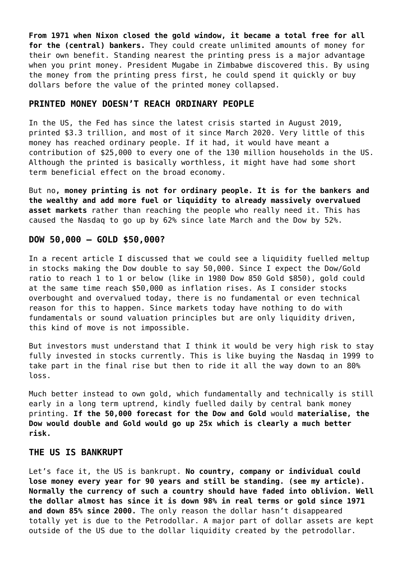**From 1971 when Nixon closed the gold window, it became a total free for all for the (central) bankers.** They could create unlimited amounts of money for their own benefit. Standing nearest the printing press is a major advantage when you print money. President Mugabe in Zimbabwe discovered this. By using the money from the printing press first, he could spend it quickly or buy dollars before the value of the printed money collapsed.

#### **PRINTED MONEY DOESN'T REACH ORDINARY PEOPLE**

In the US, the Fed has since the latest crisis started in August 2019, printed \$3.3 trillion, and most of it since March 2020. Very little of this money has reached ordinary people. If it had, it would have meant a contribution of \$25,000 to every one of the 130 million households in the US. Although the printed is basically worthless, it might have had some short term beneficial effect on the broad economy.

But no**, money printing is not for ordinary people. It is for the bankers and the wealthy and add more fuel or liquidity to already massively overvalued asset markets** rather than reaching the people who really need it. This has caused the Nasdaq to go up by 62% since late March and the Dow by 52%.

#### **DOW 50,000 – GOLD \$50,000?**

In [a recent article](https://goldswitzerland.com/inflation-dow-50000-gold-50000/) I discussed that we could see a liquidity fuelled meltup in stocks making the Dow double to say 50,000. Since I expect the Dow/Gold ratio to reach 1 to 1 or below (like in 1980 Dow 850 Gold \$850), gold could at the same time reach \$50,000 as inflation rises. As I consider stocks overbought and overvalued today, there is no fundamental or even technical reason for this to happen. Since markets today have nothing to do with fundamentals or sound valuation principles but are only liquidity driven, this kind of move is not impossible.

But investors must understand that I think it would be very high risk to stay fully invested in stocks currently. This is like buying the Nasdaq in 1999 to take part in the final rise but then to ride it all the way down to an 80% loss.

Much better instead to own gold, which fundamentally and technically is still early in a long term uptrend, kindly fuelled daily by central bank money printing. **If the 50,000 forecast for the Dow and Gold** would **materialise, the Dow would double and Gold would go up 25x which is clearly a much better risk.**

#### **THE US IS BANKRUPT**

Let's face it, the US is bankrupt. **No country, company or individual could lose money every year for 90 years and still be standing. [\(see my article\)](https://goldswitzerland.com/institutional-demand-will-drive-gold-ever-higher/). Normally the currency of such a country should have faded into oblivion. Well the dollar almost has since it is down 98% in real terms or gold since 1971 and down 85% since 2000.** The only reason the dollar hasn't disappeared totally yet is due to the Petrodollar. A major part of dollar assets are kept outside of the US due to the dollar liquidity created by the petrodollar.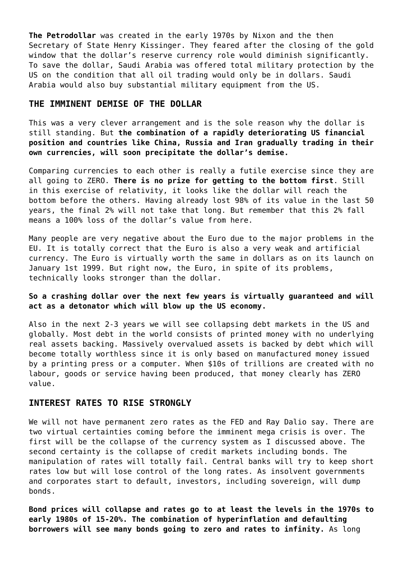**The Petrodollar** was created in the early 1970s by Nixon and the then Secretary of State Henry Kissinger. They feared after the closing of the gold window that the dollar's reserve currency role would diminish significantly. To save the dollar, Saudi Arabia was offered total military protection by the US on the condition that all oil trading would only be in dollars. Saudi Arabia would also buy substantial military equipment from the US.

### **THE IMMINENT DEMISE OF THE DOLLAR**

This was a very clever arrangement and is the sole reason why the dollar is still standing. But **the combination of a rapidly deteriorating US financial position and countries like China, Russia and Iran gradually trading in their own currencies, will soon precipitate the dollar's demise.**

Comparing currencies to each other is really a futile exercise since they are all going to ZERO. **There is no prize for getting to the bottom first**. Still in this exercise of relativity, it looks like the dollar will reach the bottom before the others. Having already lost 98% of its value in the last 50 years, the final 2% will not take that long. But remember that this 2% fall means a 100% loss of the dollar's value from here.

Many people are very negative about the Euro due to the major problems in the EU. It is totally correct that the Euro is also a very weak and artificial currency. The Euro is virtually worth the same in dollars as on its launch on January 1st 1999. But right now, the Euro, in spite of its problems, technically looks stronger than the dollar.

#### **So a crashing dollar over the next few years is virtually guaranteed and will act as a detonator which will blow up the US economy.**

Also in the next 2-3 years we will see collapsing debt markets in the US and globally. Most debt in the world consists of printed money with no underlying real assets backing. Massively overvalued assets is backed by debt which will become totally worthless since it is only based on manufactured money issued by a printing press or a computer. When \$10s of trillions are created with no labour, goods or service having been produced, that money clearly has ZERO value.

#### **INTEREST RATES TO RISE STRONGLY**

We will not have permanent zero rates as the FED and Ray Dalio say. There are two virtual certainties coming before the imminent mega crisis is over. The first will be the collapse of the currency system as I discussed above. The second certainty is the collapse of credit markets including bonds. The manipulation of rates will totally fail. Central banks will try to keep short rates low but will lose control of the long rates. As insolvent governments and corporates start to default, investors, including sovereign, will dump bonds.

**Bond prices will collapse and rates go to at least the levels in the 1970s to early 1980s of 15-20%. The combination of hyperinflation and defaulting borrowers will see many bonds going to zero and rates to infinity.** As long